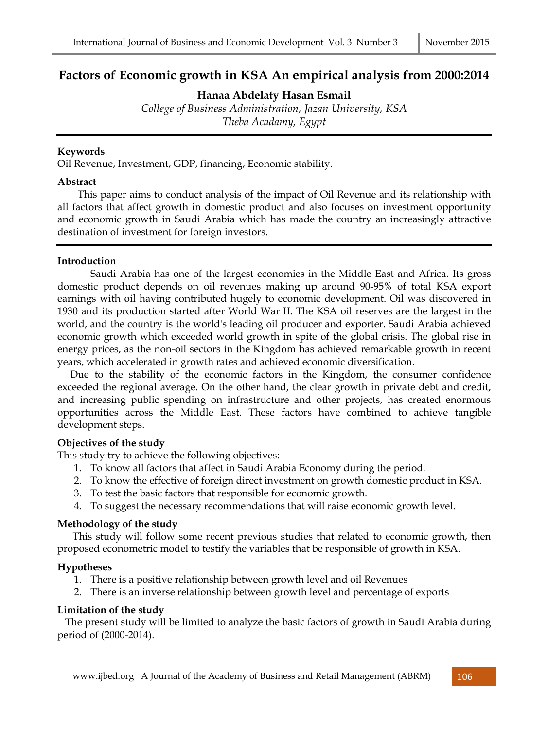# **Factors of Economic growth in KSA An empirical analysis from 2000:2014**

**Hanaa Abdelaty Hasan Esmail** 

*College of Business Administration, Jazan University, KSA Theba Acadamy, Egypt*

### **Keywords**

Oil Revenue, Investment, GDP, financing, Economic stability.

### **Abstract**

 This paper aims to conduct analysis of the impact of Oil Revenue and its relationship with all factors that affect growth in domestic product and also focuses on investment opportunity and economic growth in Saudi Arabia which has made the country an increasingly attractive destination of investment for foreign investors.

### **Introduction**

 Saudi Arabia has one of the largest economies in the Middle East and Africa. Its gross domestic product depends on oil revenues making up around 90-95% of total KSA export earnings with oil having contributed hugely to economic development. Oil was discovered in 1930 and its production started after World War II. The KSA oil reserves are the largest in the world, and the country is the world's leading oil producer and exporter. Saudi Arabia achieved economic growth which exceeded world growth in spite of the global crisis. The global rise in energy prices, as the non-oil sectors in the Kingdom has achieved remarkable growth in recent years, which accelerated in growth rates and achieved economic diversification.

 Due to the stability of the economic factors in the Kingdom, the consumer confidence exceeded the regional average. On the other hand, the clear growth in private debt and credit, and increasing public spending on infrastructure and other projects, has created enormous opportunities across the Middle East. These factors have combined to achieve tangible development steps.

# **Objectives of the study**

This study try to achieve the following objectives:-

- 1. To know all factors that affect in Saudi Arabia Economy during the period.
- 2. To know the effective of foreign direct investment on growth domestic product in KSA.
- 3. To test the basic factors that responsible for economic growth.
- 4. To suggest the necessary recommendations that will raise economic growth level.

### **Methodology of the study**

 This study will follow some recent previous studies that related to economic growth, then proposed econometric model to testify the variables that be responsible of growth in KSA.

### **Hypotheses**

- 1. There is a positive relationship between growth level and oil Revenues
- 2. There is an inverse relationship between growth level and percentage of exports

### **Limitation of the study**

 The present study will be limited to analyze the basic factors of growth in Saudi Arabia during period of (2000-2014).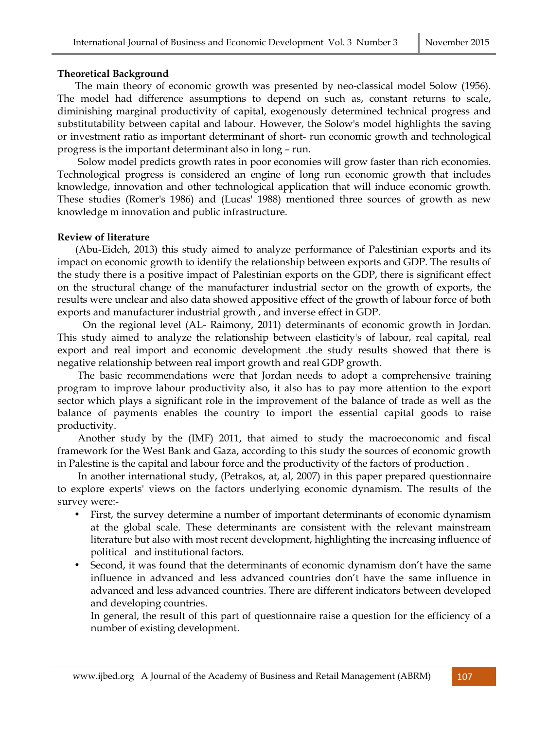### **Theoretical Background**

 The main theory of economic growth was presented by neo-classical model Solow (1956). The model had difference assumptions to depend on such as, constant returns to scale, diminishing marginal productivity of capital, exogenously determined technical progress and substitutability between capital and labour. However, the Solow's model highlights the saving or investment ratio as important determinant of short- run economic growth and technological progress is the important determinant also in long – run.

 Solow model predicts growth rates in poor economies will grow faster than rich economies. Technological progress is considered an engine of long run economic growth that includes knowledge, innovation and other technological application that will induce economic growth. These studies (Romer's 1986) and (Lucas' 1988) mentioned three sources of growth as new knowledge m innovation and public infrastructure.

### **Review of literature**

 (Abu-Eideh, 2013) this study aimed to analyze performance of Palestinian exports and its impact on economic growth to identify the relationship between exports and GDP. The results of the study there is a positive impact of Palestinian exports on the GDP, there is significant effect on the structural change of the manufacturer industrial sector on the growth of exports, the results were unclear and also data showed appositive effect of the growth of labour force of both exports and manufacturer industrial growth , and inverse effect in GDP.

 On the regional level (AL- Raimony, 2011) determinants of economic growth in Jordan. This study aimed to analyze the relationship between elasticity's of labour, real capital, real export and real import and economic development .the study results showed that there is negative relationship between real import growth and real GDP growth.

 The basic recommendations were that Jordan needs to adopt a comprehensive training program to improve labour productivity also, it also has to pay more attention to the export sector which plays a significant role in the improvement of the balance of trade as well as the balance of payments enables the country to import the essential capital goods to raise productivity.

 Another study by the (IMF) 2011, that aimed to study the macroeconomic and fiscal framework for the West Bank and Gaza, according to this study the sources of economic growth in Palestine is the capital and labour force and the productivity of the factors of production .

 In another international study, (Petrakos, at, al, 2007) in this paper prepared questionnaire to explore experts' views on the factors underlying economic dynamism. The results of the survey were:-

- First, the survey determine a number of important determinants of economic dynamism at the global scale. These determinants are consistent with the relevant mainstream literature but also with most recent development, highlighting the increasing influence of political and institutional factors.
- Second, it was found that the determinants of economic dynamism don't have the same influence in advanced and less advanced countries don't have the same influence in advanced and less advanced countries. There are different indicators between developed and developing countries.

 In general, the result of this part of questionnaire raise a question for the efficiency of a number of existing development.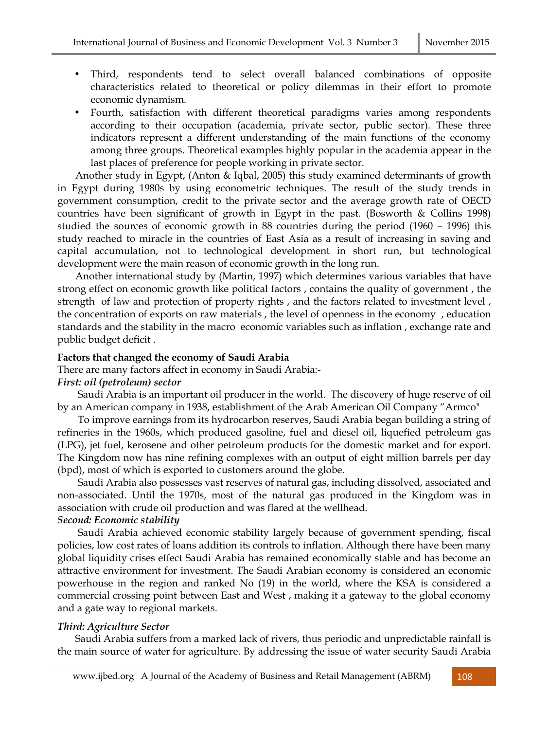- Third, respondents tend to select overall balanced combinations of opposite characteristics related to theoretical or policy dilemmas in their effort to promote economic dynamism.
- Fourth, satisfaction with different theoretical paradigms varies among respondents according to their occupation (academia, private sector, public sector). These three indicators represent a different understanding of the main functions of the economy among three groups. Theoretical examples highly popular in the academia appear in the last places of preference for people working in private sector.

 Another study in Egypt, (Anton & Iqbal, 2005) this study examined determinants of growth in Egypt during 1980s by using econometric techniques. The result of the study trends in government consumption, credit to the private sector and the average growth rate of OECD countries have been significant of growth in Egypt in the past. (Bosworth & Collins 1998) studied the sources of economic growth in 88 countries during the period (1960 – 1996) this study reached to miracle in the countries of East Asia as a result of increasing in saving and capital accumulation, not to technological development in short run, but technological development were the main reason of economic growth in the long run.

 Another international study by (Martin, 1997) which determines various variables that have strong effect on economic growth like political factors , contains the quality of government , the strength of law and protection of property rights , and the factors related to investment level , the concentration of exports on raw materials , the level of openness in the economy , education standards and the stability in the macro economic variables such as inflation , exchange rate and public budget deficit .

# **Factors that changed the economy of Saudi Arabia**

There are many factors affect in economy in Saudi Arabia:-

# *First: oil (petroleum) sector*

 Saudi Arabia is an important oil producer in the world. The discovery of huge reserve of oil by an American company in 1938, establishment of the Arab American Oil Company "Armco"

 To improve earnings from its hydrocarbon reserves, Saudi Arabia began building a string of refineries in the 1960s, which produced gasoline, fuel and diesel oil, liquefied petroleum gas (LPG), jet fuel, kerosene and other petroleum products for the domestic market and for export. The Kingdom now has nine refining complexes with an output of eight million barrels per day (bpd), most of which is exported to customers around the globe.

 Saudi Arabia also possesses vast reserves of natural gas, including dissolved, associated and non-associated. Until the 1970s, most of the natural gas produced in the Kingdom was in association with crude oil production and was flared at the wellhead.

# *Second: Economic stability*

 Saudi Arabia achieved economic stability largely because of government spending, fiscal policies, low cost rates of loans addition its controls to inflation. Although there have been many global liquidity crises effect Saudi Arabia has remained economically stable and has become an attractive environment for investment. The Saudi Arabian economy is considered an economic powerhouse in the region and ranked No (19) in the world, where the KSA is considered a commercial crossing point between East and West , making it a gateway to the global economy and a gate way to regional markets.

# *Third: Agriculture Sector*

 Saudi Arabia suffers from a marked lack of rivers, thus periodic and unpredictable rainfall is the main source of water for agriculture. By addressing the issue of water security Saudi Arabia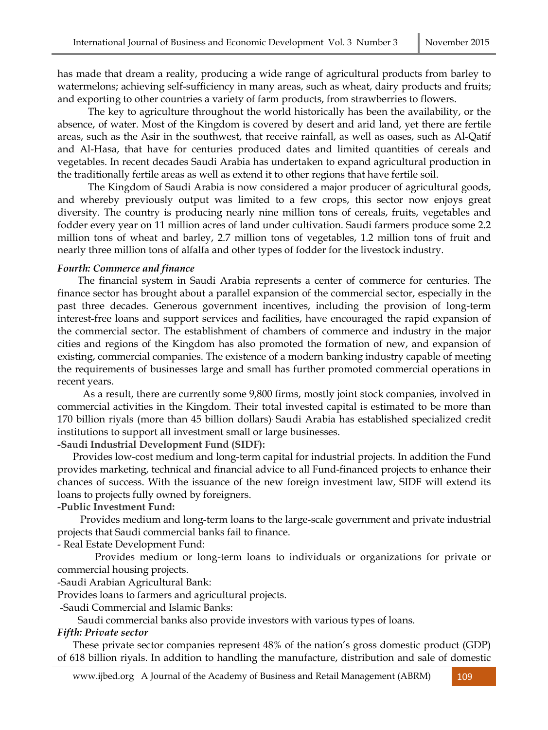has made that dream a reality, producing a wide range of agricultural products from barley to watermelons; achieving self-sufficiency in many areas, such as wheat, dairy products and fruits; and exporting to other countries a variety of farm products, from strawberries to flowers.

 The key to agriculture throughout the world historically has been the availability, or the absence, of water. Most of the Kingdom is covered by desert and arid land, yet there are fertile areas, such as the Asir in the southwest, that receive rainfall, as well as oases, such as Al-Qatif and Al-Hasa, that have for centuries produced dates and limited quantities of cereals and vegetables. In recent decades Saudi Arabia has undertaken to expand agricultural production in the traditionally fertile areas as well as extend it to other regions that have fertile soil.

 The Kingdom of Saudi Arabia is now considered a major producer of agricultural goods, and whereby previously output was limited to a few crops, this sector now enjoys great diversity. The country is producing nearly nine million tons of cereals, fruits, vegetables and fodder every year on 11 million acres of land under cultivation. Saudi farmers produce some 2.2 million tons of wheat and barley, 2.7 million tons of vegetables, 1.2 million tons of fruit and nearly three million tons of alfalfa and other types of fodder for the livestock industry.

### *Fourth: Commerce and finance*

 The financial system in Saudi Arabia represents a center of commerce for centuries. The finance sector has brought about a parallel expansion of the commercial sector, especially in the past three decades. Generous government incentives, including the provision of long-term interest-free loans and support services and facilities, have encouraged the rapid expansion of the commercial sector. The establishment of chambers of commerce and industry in the major cities and regions of the Kingdom has also promoted the formation of new, and expansion of existing, commercial companies. The existence of a modern banking industry capable of meeting the requirements of businesses large and small has further promoted commercial operations in recent years.

 As a result, there are currently some 9,800 firms, mostly joint stock companies, involved in commercial activities in the Kingdom. Their total invested capital is estimated to be more than 170 billion riyals (more than 45 billion dollars). Saudi Arabia has established specialized credit institutions to support all investment small or large businesses.

### **-Saudi Industrial Development Fund (SIDF):**

 Provides low-cost medium and long-term capital for industrial projects. In addition the Fund provides marketing, technical and financial advice to all Fund-financed projects to enhance their chances of success. With the issuance of the new foreign investment law, SIDF will extend its loans to projects fully owned by foreigners.

### **-Public Investment Fund:**

 Provides medium and long-term loans to the large-scale government and private industrial projects that Saudi commercial banks fail to finance.

- Real Estate Development Fund:

 Provides medium or long-term loans to individuals or organizations for private or commercial housing projects.

-Saudi Arabian Agricultural Bank:

Provides loans to farmers and agricultural projects.

-Saudi Commercial and Islamic Banks:

Saudi commercial banks also provide investors with various types of loans.

# *Fifth: Private sector*

 These private sector companies represent 48% of the nation's gross domestic product (GDP) of 618 billion riyals. In addition to handling the manufacture, distribution and sale of domestic

www.ijbed.org A Journal of the Academy of Business and Retail Management (ABRM) 109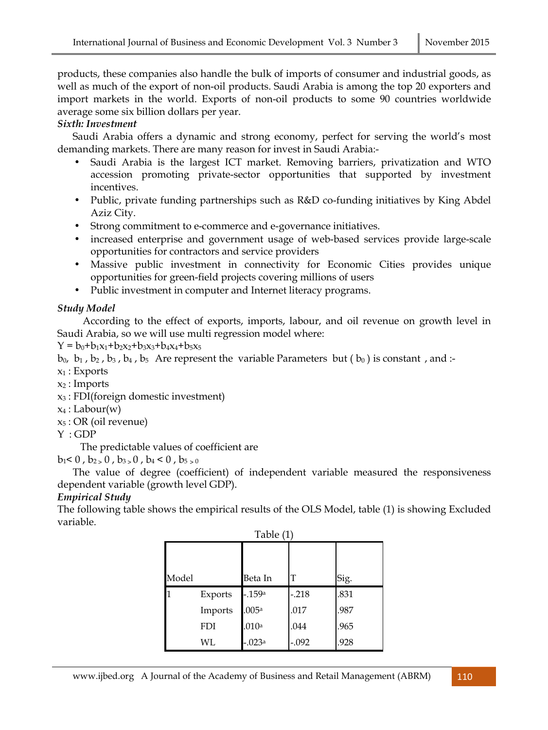products, these companies also handle the bulk of imports of consumer and industrial goods, as well as much of the export of non-oil products. Saudi Arabia is among the top 20 exporters and import markets in the world. Exports of non-oil products to some 90 countries worldwide average some six billion dollars per year.

# *Sixth: Investment*

 Saudi Arabia offers a dynamic and strong economy, perfect for serving the world's most demanding markets. There are many reason for invest in Saudi Arabia:-

- Saudi Arabia is the largest ICT market. Removing barriers, privatization and WTO accession promoting private-sector opportunities that supported by investment incentives.
- Public, private funding partnerships such as R&D co-funding initiatives by King Abdel Aziz City.
- Strong commitment to e-commerce and e-governance initiatives.
- increased enterprise and government usage of web-based services provide large-scale opportunities for contractors and service providers
- Massive public investment in connectivity for Economic Cities provides unique opportunities for green-field projects covering millions of users
- Public investment in computer and Internet literacy programs.

# *Study Model*

 According to the effect of exports, imports, labour, and oil revenue on growth level in Saudi Arabia, so we will use multi regression model where:

 $Y = b_0 + b_1x_1 + b_2x_2 + b_3x_3 + b_4x_4 + b_5x_5$ 

 $b_0$ ,  $b_1$ ,  $b_2$ ,  $b_3$ ,  $b_4$ ,  $b_5$  Are represent the variable Parameters but ( $b_0$ ) is constant, and :-

- $x_1$ : Exports
- $x_2$ : Imports
- x3 : FDI(foreign domestic investment)
- $x_4$ : Labour(w)
- x5 : OR (oil revenue)
- Y : GDP

The predictable values of coefficient are

 $b_1 < 0$ ,  $b_2 > 0$ ,  $b_3 > 0$ ,  $b_4 < 0$ ,  $b_5 > 0$ 

 The value of degree (coefficient) of independent variable measured the responsiveness dependent variable (growth level GDP).

# *Empirical Study*

The following table shows the empirical results of the OLS Model, table (1) is showing Excluded variable.  $T_1$  1 1  $(1)$ 

| Table (1) |            |          |         |      |  |  |
|-----------|------------|----------|---------|------|--|--|
|           |            |          |         |      |  |  |
| Model     |            | Beta In  | T       | Sig. |  |  |
|           | Exports    | $-.159a$ | $-.218$ | .831 |  |  |
|           | Imports    | .005a    | .017    | .987 |  |  |
|           | <b>FDI</b> | .010a    | .044    | .965 |  |  |
|           | WL         | $-.023a$ | $-.092$ | .928 |  |  |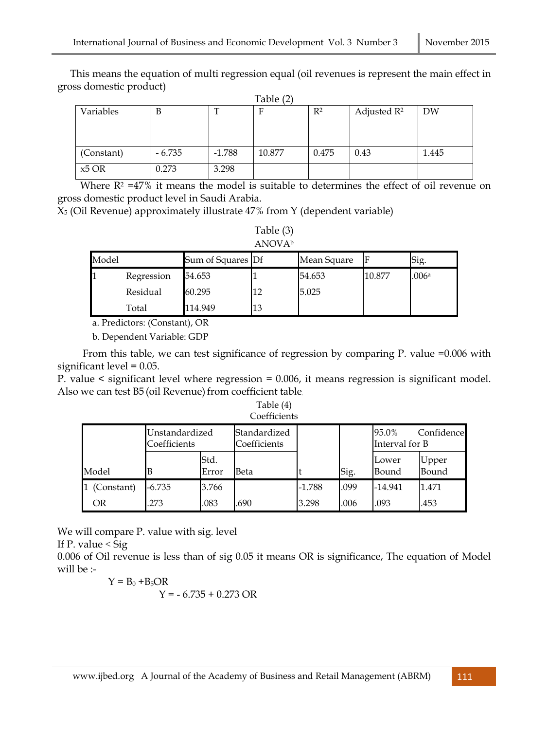This means the equation of multi regression equal (oil revenues is represent the main effect in gross domestic product)  $T_2L1_2(2)$ 

| Table $(2)$ |          |          |        |       |                |       |  |
|-------------|----------|----------|--------|-------|----------------|-------|--|
| Variables   | В        | ᡣ᠇       |        | $R^2$ | Adjusted $R^2$ | DW    |  |
|             |          |          |        |       |                |       |  |
|             |          |          |        |       |                |       |  |
|             |          |          |        |       |                |       |  |
|             |          |          |        |       |                |       |  |
| (Constant)  | $-6.735$ | $-1.788$ | 10.877 | 0.475 | 0.43           | 1.445 |  |
| $x5$ OR     | 0.273    | 3.298    |        |       |                |       |  |
|             |          |          |        |       |                |       |  |

Where  $R^2 = 47\%$  it means the model is suitable to determines the effect of oil revenue on gross domestic product level in Saudi Arabia.

Table (3)

X5 (Oil Revenue) approximately illustrate 47% from Y (dependent variable)

|       | <b>ANOVA</b> <sup>b</sup> |                   |    |             |        |       |  |  |
|-------|---------------------------|-------------------|----|-------------|--------|-------|--|--|
| Model |                           | Sum of Squares Df |    | Mean Square |        | Sig.  |  |  |
|       | Regression                | 54.653            |    | 54.653      | 10.877 | .006a |  |  |
|       | Residual                  | 60.295            | 12 | 5.025       |        |       |  |  |
|       | Total                     | 114.949           | 13 |             |        |       |  |  |

a. Predictors: (Constant), OR

b. Dependent Variable: GDP

 From this table, we can test significance of regression by comparing P. value =0.006 with significant level = 0.05.

P. value < significant level where regression = 0.006, it means regression is significant model. Also we can test B5 (oil Revenue) from coefficient table.

|              |                                |               | Coeificients                 |          |      |                                       |                |
|--------------|--------------------------------|---------------|------------------------------|----------|------|---------------------------------------|----------------|
|              | Unstandardized<br>Coefficients |               | Standardized<br>Coefficients |          |      | 95.0%<br>Confidence<br>Interval for B |                |
| Model        |                                | Std.<br>Error | <b>Beta</b>                  |          | Sig. | Lower<br>Bound                        | Upper<br>Bound |
| 1 (Constant) | $-6.735$                       | 3.766         |                              | $-1.788$ | .099 | $-14.941$                             | 1.471          |
| <b>OR</b>    | .273                           | .083          | .690                         | 3.298    | .006 | .093                                  | .453           |

Table (4)  $cc:$ 

We will compare P. value with sig. level

If P. value  $<$  Sig

0.006 of Oil revenue is less than of sig 0.05 it means OR is significance, The equation of Model will be :-

$$
Y = B_0 + B_5OR
$$
  
 
$$
Y = -6.735 + 0.273 OR
$$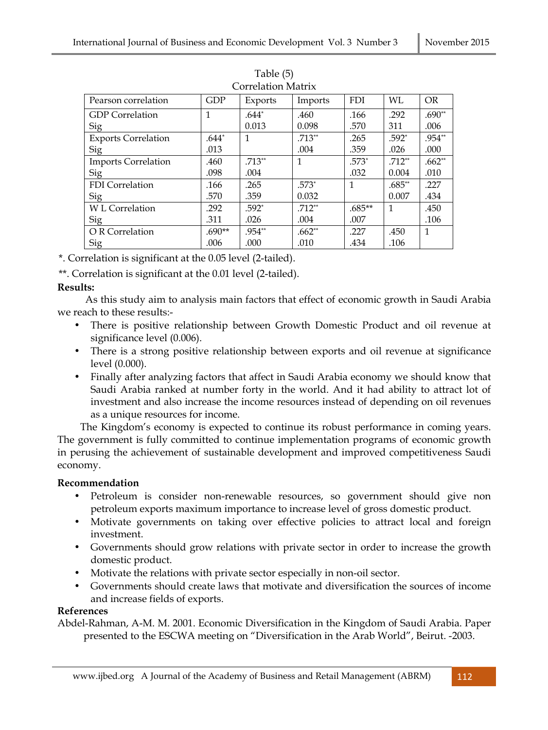| 100K(0)<br><b>Correlation Matrix</b> |            |          |          |            |          |           |  |  |
|--------------------------------------|------------|----------|----------|------------|----------|-----------|--|--|
|                                      |            |          |          |            |          |           |  |  |
| Pearson correlation                  | <b>GDP</b> | Exports  | Imports  | <b>FDI</b> | WL       | <b>OR</b> |  |  |
| <b>GDP</b> Correlation               | 1          | $.644*$  | .460     | .166       | .292     | $.690**$  |  |  |
| Sig                                  |            | 0.013    | 0.098    | .570       | 311      | .006      |  |  |
| <b>Exports Correlation</b>           | $.644*$    | 1        | $.713**$ | .265       | $.592*$  | .954**    |  |  |
| Sig                                  | .013       |          | .004     | .359       | .026     | .000      |  |  |
| <b>Imports Correlation</b>           | .460       | $.713**$ | 1        | $.573*$    | $.712**$ | $.662**$  |  |  |
| Sig                                  | .098       | .004     |          | .032       | 0.004    | .010      |  |  |
| FDI Correlation                      | .166       | .265     | $.573*$  | 1          | $.685**$ | .227      |  |  |
| Sig                                  | .570       | .359     | 0.032    |            | 0.007    | .434      |  |  |
| <b>W</b> L Correlation               | .292       | .592*    | $.712**$ | $.685**$   | 1        | .450      |  |  |
| Sig                                  | .311       | .026     | .004     | .007       |          | .106      |  |  |
| O R Correlation                      | $.690**$   | .954**   | $.662**$ | .227       | .450     | 1         |  |  |
| Sig                                  | .006       | .000     | .010     | .434       | .106     |           |  |  |

Table (5)

\*. Correlation is significant at the 0.05 level (2-tailed).

\*\*. Correlation is significant at the 0.01 level (2-tailed).

# **Results:**

 As this study aim to analysis main factors that effect of economic growth in Saudi Arabia we reach to these results:-

- There is positive relationship between Growth Domestic Product and oil revenue at significance level (0.006).
- There is a strong positive relationship between exports and oil revenue at significance level (0.000).
- Finally after analyzing factors that affect in Saudi Arabia economy we should know that Saudi Arabia ranked at number forty in the world. And it had ability to attract lot of investment and also increase the income resources instead of depending on oil revenues as a unique resources for income.

 The Kingdom's economy is expected to continue its robust performance in coming years. The government is fully committed to continue implementation programs of economic growth in perusing the achievement of sustainable development and improved competitiveness Saudi economy.

# **Recommendation**

- Petroleum is consider non-renewable resources, so government should give non petroleum exports maximum importance to increase level of gross domestic product.
- Motivate governments on taking over effective policies to attract local and foreign investment.
- Governments should grow relations with private sector in order to increase the growth domestic product.
- Motivate the relations with private sector especially in non-oil sector.
- Governments should create laws that motivate and diversification the sources of income and increase fields of exports.

# **References**

Abdel-Rahman, A-M. M. 2001. Economic Diversification in the Kingdom of Saudi Arabia. Paper presented to the ESCWA meeting on "Diversification in the Arab World", Beirut. -2003.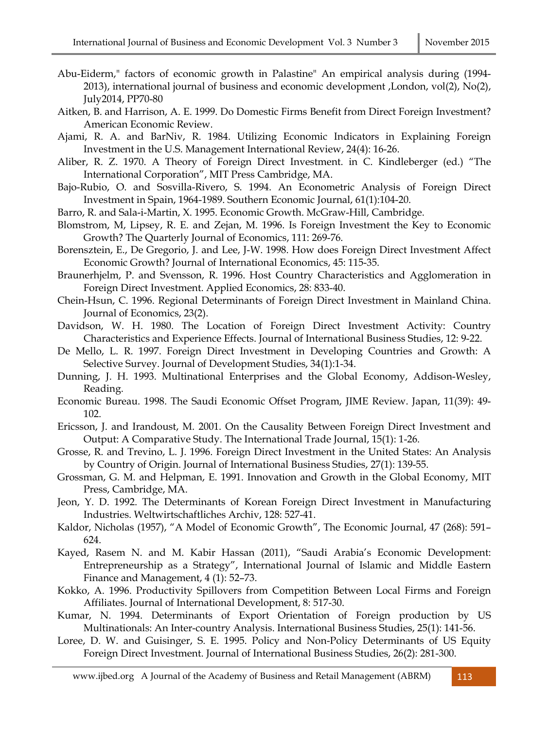- Abu-Eiderm," factors of economic growth in Palastine" An empirical analysis during (1994- 2013), international journal of business and economic development ,London, vol(2), No(2), July2014, PP70-80
- Aitken, B. and Harrison, A. E. 1999. Do Domestic Firms Benefit from Direct Foreign Investment? American Economic Review.
- Ajami, R. A. and BarNiv, R. 1984. Utilizing Economic Indicators in Explaining Foreign Investment in the U.S. Management International Review, 24(4): 16-26.
- Aliber, R. Z. 1970. A Theory of Foreign Direct Investment. in C. Kindleberger (ed.) "The International Corporation", MIT Press Cambridge, MA.
- Bajo-Rubio, O. and Sosvilla-Rivero, S. 1994. An Econometric Analysis of Foreign Direct Investment in Spain, 1964-1989. Southern Economic Journal, 61(1):104-20.
- Barro, R. and Sala-i-Martin, X. 1995. Economic Growth. McGraw-Hill, Cambridge.
- Blomstrom, M, Lipsey, R. E. and Zejan, M. 1996. Is Foreign Investment the Key to Economic Growth? The Quarterly Journal of Economics, 111: 269-76.
- Borensztein, E., De Gregorio, J. and Lee, J-W. 1998. How does Foreign Direct Investment Affect Economic Growth? Journal of International Economics, 45: 115-35.
- Braunerhjelm, P. and Svensson, R. 1996. Host Country Characteristics and Agglomeration in Foreign Direct Investment. Applied Economics, 28: 833-40.
- Chein-Hsun, C. 1996. Regional Determinants of Foreign Direct Investment in Mainland China. Journal of Economics, 23(2).
- Davidson, W. H. 1980. The Location of Foreign Direct Investment Activity: Country Characteristics and Experience Effects. Journal of International Business Studies, 12: 9-22.
- De Mello, L. R. 1997. Foreign Direct Investment in Developing Countries and Growth: A Selective Survey. Journal of Development Studies, 34(1):1-34.
- Dunning, J. H. 1993. Multinational Enterprises and the Global Economy, Addison-Wesley, Reading.
- Economic Bureau. 1998. The Saudi Economic Offset Program, JIME Review. Japan, 11(39): 49- 102.
- Ericsson, J. and Irandoust, M. 2001. On the Causality Between Foreign Direct Investment and Output: A Comparative Study. The International Trade Journal, 15(1): 1-26.
- Grosse, R. and Trevino, L. J. 1996. Foreign Direct Investment in the United States: An Analysis by Country of Origin. Journal of International Business Studies, 27(1): 139-55.
- Grossman, G. M. and Helpman, E. 1991. Innovation and Growth in the Global Economy, MIT Press, Cambridge, MA.
- Jeon, Y. D. 1992. The Determinants of Korean Foreign Direct Investment in Manufacturing Industries. Weltwirtschaftliches Archiv, 128: 527-41.
- Kaldor, Nicholas (1957), "A Model of Economic Growth", The Economic Journal, 47 (268): 591– 624.
- Kayed, Rasem N. and M. Kabir Hassan (2011), "Saudi Arabia's Economic Development: Entrepreneurship as a Strategy", International Journal of Islamic and Middle Eastern Finance and Management, 4 (1): 52–73.
- Kokko, A. 1996. Productivity Spillovers from Competition Between Local Firms and Foreign Affiliates. Journal of International Development, 8: 517-30.
- Kumar, N. 1994. Determinants of Export Orientation of Foreign production by US Multinationals: An Inter-country Analysis. International Business Studies, 25(1): 141-56.
- Loree, D. W. and Guisinger, S. E. 1995. Policy and Non-Policy Determinants of US Equity Foreign Direct Investment. Journal of International Business Studies, 26(2): 281-300.